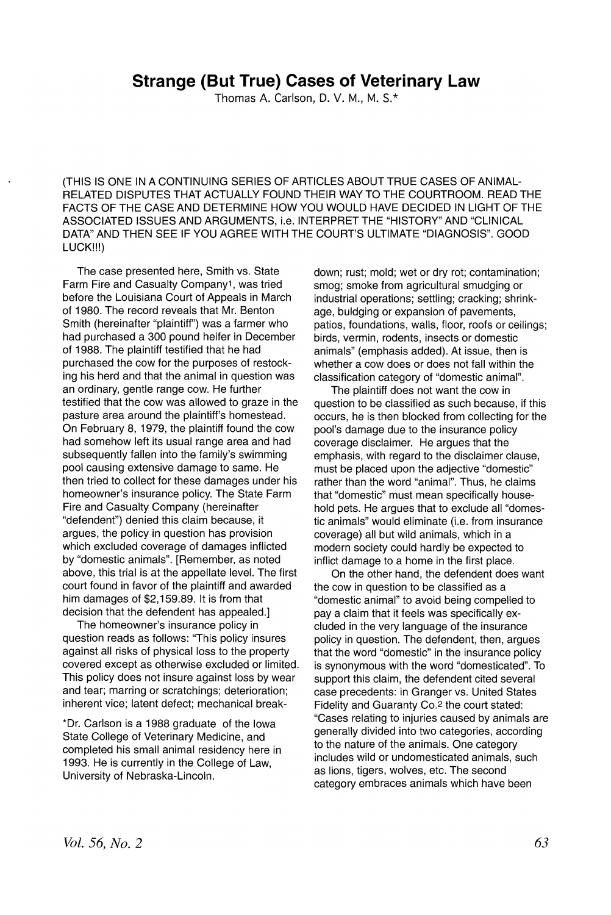## **Strange (But True) Cases of Veterinary Law**

Thomas A. Carlson, D. V. M., M. S.\*

(THIS IS ONE IN A CONTINUING SERIES OF ARTICLES ABOUT TRUE CASES OF ANIMAL-RELATED DISPUTES THAT ACTUALLY FOUND THEIR WAY TO THE COURTROOM. READ THE FACTS OF THE CASE AND DETERMINE HOW YOU WOULD HAVE DECIDED IN LIGHT OF THE ASSOCIATED ISSUES AND ARGUMENTS, i.e. INTERPRET THE "HISTORY" AND "CLINICAL DATA" AND THEN SEE IF YOU AGREE WITH THE COURT'S ULTIMATE "DIAGNOSIS". GOOD LUCK!!!)

The case presented here, Smith vs. State Farm Fire and Casualty Company1, was tried before the Louisiana Court of Appeals in March of 1980. The record reveals that Mr. Benton Smith (hereinafter "plaintiff") was a farmer who had purchased a 300 pound heifer in December of 1988. The plaintiff testified that he had purchased the cow for the purposes of restocking his herd and that the animal in question was an ordinary, gentle range cow. He further testified that the cow was allowed to graze in the pasture area around the plaintiff's homestead. On February 8, 1979, the plaintiff found the cow had somehow left its usual range area and had subsequently fallen into the family's swimming pool causing extensive damage to same. He then tried to collect for these damages under his homeowner's insurance policy. The State Farm Fire and Casualty Company (hereinafter "defendent") denied this claim because, it argues, the policy in question has provision which excluded coverage of damages inflicted by "domestic animals". [Remember, as noted above, this trial is at the appellate level. The first court found in favor of the plaintiff and awarded him damages of \$2,159.89. It is from that decision that the defendent has appealed.]

The homeowner's insurance policy in question reads as follows: "This policy insures against all risks of physical loss to the property covered except as otherwise excluded or limited. This policy does not insure against loss by wear and tear; marring or scratchings; deterioration; inherent vice; latent defect; mechanical break-

\*Dr. Carlson is a 1988 graduate of the Iowa State College of Veterinary Medicine, and completed his small animal residency here in 1993. He is currently in the College of Law, University of Nebraska-Lincoln.

down; rust; mold; wet or dry rot; contamination; smog; smoke from agricultural smudging or industrial operations; settling; cracking; shrinkage, buldging or expansion of pavements, patios, foundations, walls, floor, roofs or ceilings; birds, vermin, rodents, insects or domestic animals" (emphasis added). At issue, then is whether a cow does or does not fall within the classification category of "domestic animal".

The plaintiff does not want the cow in question to be classified as such because, if this occurs, he is then blocked from collecting for the pool's damage due to the insurance policy coverage disclaimer. He argues that the emphasis, with regard to the disclaimer clause, must be placed upon the adjective "domestic" rather than the word "animal". Thus, he claims that "domestic" must mean specifically household pets. He argues that to exclude all "domestic animals" would eliminate (i.e. from insurance coverage) all but wild animals, which in a modern society could hardly be expected to inflict damage to a home in the first place.

On the other hand, the defendent does want the cow in question to be classified as a "domestic animal" to avoid being compelled to pay a claim that it feels was specifically excluded in the very language of the insurance policy in question. The defendent, then, argues that the word "domestic" in the insurance policy is synonymous with the word "domesticated". To support this claim, the defendent cited several case precedents: in Granger vs. United States Fidelity and Guaranty Co.<sup>2</sup> the court stated: "Cases relating to injuries caused by animals are generally divided into two categories, according to the nature of the animals. One category includes wild or undomesticated animals, such as lions, tigers, wolves, etc. The second category embraces animals which have been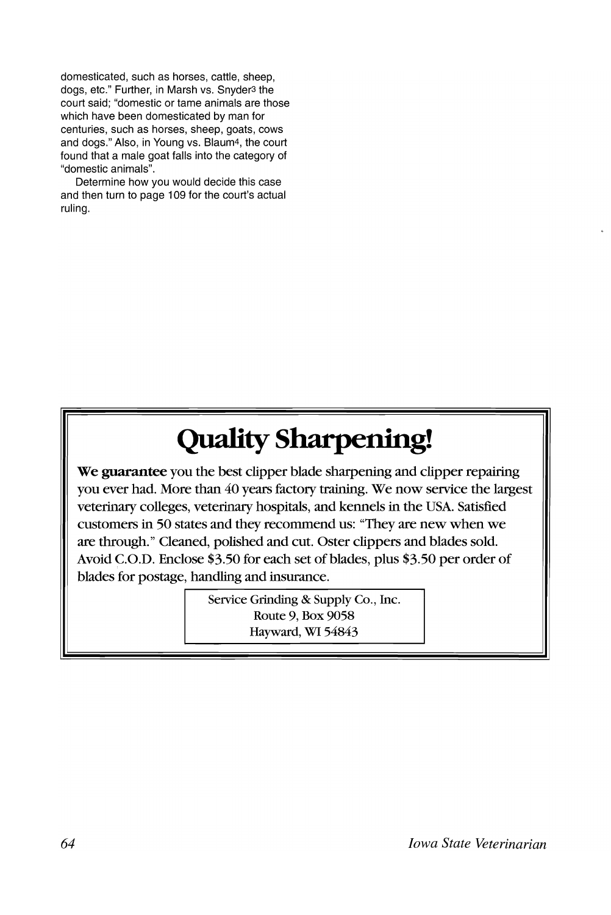domesticated, such as horses, cattle, sheep, dogs, etc." Further, in Marsh vs. Snyder3 the court said; "domestic or tame animals are those which have been domesticated by man for centuries, such as horses, sheep, goats, cows and dogs." Also, in Young vs. Blaum4, the court found that a male goat falls into the category of "domestic animals".

Determine how you would decide this case and then turn to page 109 for the court's actual ruling.

# Quality Sharpening!

We guarantee you the best clipper blade sharpening and clipper repairing you ever had. More than 40 years factory training. We now service the largest veterinary colleges, veterinary hospitals, and kennels in the USA. Satisfied customers in 50 states and they recommend us: "They are new when we are through." Cleaned, polished and cut. Oster clippers and blades sold. Avoid C.O.D. Enclose \$3.50 for each set of blades, plus \$3.50 per order of blades for postage, handling and insurance.

> Service Grinding & Supply Co., Inc. Route 9, Box 9058 Hayward, WI 54843